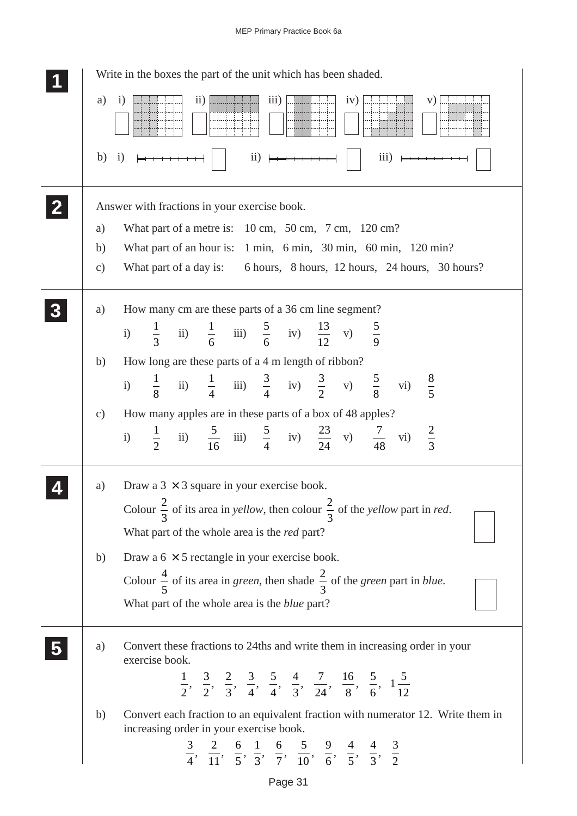## MEP Primary Practice Book 6a

|               | Write in the boxes the part of the unit which has been shaded.                                                                                                    |
|---------------|-------------------------------------------------------------------------------------------------------------------------------------------------------------------|
| a)<br>b) i)   | $\overline{11}$<br>$\overline{\text{iii}}$<br>$\mathbf{i}$<br>iv)<br>V)<br>$\rm ii)$<br>$\overline{iii}$                                                          |
|               | Answer with fractions in your exercise book.                                                                                                                      |
| a)            | What part of a metre is: 10 cm, 50 cm, 7 cm, 120 cm?                                                                                                              |
| b)            | What part of an hour is: 1 min, 6 min, 30 min, 60 min, 120 min?                                                                                                   |
| $\mathbf{c})$ | What part of a day is:<br>6 hours, 8 hours, 12 hours, 24 hours, 30 hours?                                                                                         |
| a)            | How many cm are these parts of a 36 cm line segment?                                                                                                              |
|               | i) $\frac{1}{2}$ ii) $\frac{1}{6}$ iii) $\frac{5}{6}$ iv) $\frac{13}{12}$ v) $\frac{5}{9}$                                                                        |
| b)            | How long are these parts of a 4 m length of ribbon?                                                                                                               |
|               | i) $\frac{1}{8}$ ii) $\frac{1}{4}$ iii) $\frac{3}{4}$ iv) $\frac{3}{2}$ v) $\frac{5}{8}$ vi) $\frac{8}{5}$                                                        |
| $\mathbf{c})$ | How many apples are in these parts of a box of 48 apples?                                                                                                         |
|               | i) $\frac{1}{2}$ ii) $\frac{5}{16}$ iii) $\frac{5}{4}$ iv) $\frac{23}{24}$ v) $\frac{7}{48}$ vi) $\frac{2}{3}$                                                    |
| a)            | Draw a $3 \times 3$ square in your exercise book.                                                                                                                 |
|               | Colour $\frac{2}{3}$ of its area in <i>yellow</i> , then colour $\frac{2}{3}$ of the <i>yellow</i> part in <i>red</i> .                                           |
|               | What part of the whole area is the <i>red</i> part?                                                                                                               |
| b)            | Draw a $6 \times 5$ rectangle in your exercise book.                                                                                                              |
|               | Colour $\frac{4}{5}$ of its area in <i>green</i> , then shade $\frac{2}{3}$ of the <i>green</i> part in <i>blue</i> .                                             |
|               | What part of the whole area is the <i>blue</i> part?                                                                                                              |
| a)            | Convert these fractions to 24ths and write them in increasing order in your                                                                                       |
|               | exercise book.                                                                                                                                                    |
|               | $\frac{1}{2}$ , $\frac{3}{2}$ , $\frac{2}{3}$ , $\frac{3}{4}$ , $\frac{5}{4}$ , $\frac{4}{3}$ , $\frac{7}{24}$ , $\frac{16}{8}$ , $\frac{5}{6}$ , $1\frac{5}{12}$ |
| b)            | Convert each fraction to an equivalent fraction with numerator 12. Write them in                                                                                  |
|               | increasing order in your exercise book.                                                                                                                           |
|               | $\frac{3}{4}$ , $\frac{2}{11}$ , $\frac{6}{5}$ , $\frac{1}{3}$ , $\frac{6}{7}$ , $\frac{5}{10}$ , $\frac{9}{6}$ , $\frac{4}{5}$ , $\frac{4}{3}$ , $\frac{3}{2}$   |
|               | Page 31                                                                                                                                                           |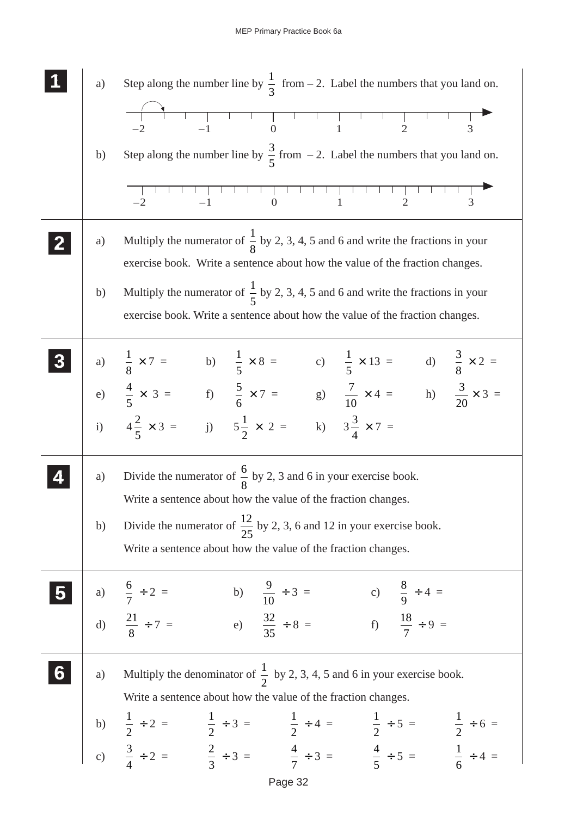| a)<br>b) | Step along the number line by $\frac{1}{3}$ from - 2. Label the numbers that you land on.<br>$\begin{array}{c} \perp \\ 1 \end{array}$<br>$\ddot{0}$<br>$\overline{2}$<br>3<br>Step along the number line by $\frac{3}{5}$ from -2. Label the numbers that you land on.<br>$-2$<br>$\overline{0}$<br>$\overline{2}$<br>$\mathbf{1}$<br>$-1$<br>3 |
|----------|--------------------------------------------------------------------------------------------------------------------------------------------------------------------------------------------------------------------------------------------------------------------------------------------------------------------------------------------------|
| a)       | Multiply the numerator of $\frac{1}{8}$ by 2, 3, 4, 5 and 6 and write the fractions in your<br>exercise book. Write a sentence about how the value of the fraction changes.                                                                                                                                                                      |
| b)       | Multiply the numerator of $\frac{1}{5}$ by 2, 3, 4, 5 and 6 and write the fractions in your<br>exercise book. Write a sentence about how the value of the fraction changes.                                                                                                                                                                      |
|          | a) $\frac{1}{8} \times 7 =$ b) $\frac{1}{5} \times 8 =$ c) $\frac{1}{5} \times 13 =$ d) $\frac{3}{8} \times 2 =$                                                                                                                                                                                                                                 |
|          | e) $\frac{4}{5} \times 3 =$ f) $\frac{5}{6} \times 7 =$ g) $\frac{7}{10} \times 4 =$ h) $\frac{3}{20} \times 3 =$                                                                                                                                                                                                                                |
|          | i) $4\frac{2}{5} \times 3 =$ j) $5\frac{1}{2} \times 2 =$ k) $3\frac{3}{4} \times 7 =$                                                                                                                                                                                                                                                           |
| a)       | Divide the numerator of $\frac{6}{8}$ by 2, 3 and 6 in your exercise book.<br>Write a sentence about how the value of the fraction changes.                                                                                                                                                                                                      |
| b)       | Divide the numerator of $\frac{12}{25}$ by 2, 3, 6 and 12 in your exercise book.<br>Write a sentence about how the value of the fraction changes.                                                                                                                                                                                                |
|          | b) $\frac{9}{10} \div 3 =$ c) $\frac{8}{9} \div 4 =$<br>a) $\frac{6}{7} \div 2 =$                                                                                                                                                                                                                                                                |
|          | d) $\frac{21}{8} \div 7 =$ e) $\frac{32}{35} \div 8 =$ f) $\frac{18}{7} \div 9 =$                                                                                                                                                                                                                                                                |
| a)       | Multiply the denominator of $\frac{1}{2}$ by 2, 3, 4, 5 and 6 in your exercise book.<br>Write a sentence about how the value of the fraction changes.                                                                                                                                                                                            |
|          | b) $\frac{1}{2} \div 2 = \frac{1}{2} \div 3 = \frac{1}{2} \div 4 = \frac{1}{2} \div 5 = \frac{1}{2} \div 6 =$                                                                                                                                                                                                                                    |
|          | c) $\frac{3}{4} \div 2 = \frac{2}{3} \div 3 = \frac{4}{7} \div 3 = \frac{4}{5} \div 5 = \frac{1}{6} \div 4 =$                                                                                                                                                                                                                                    |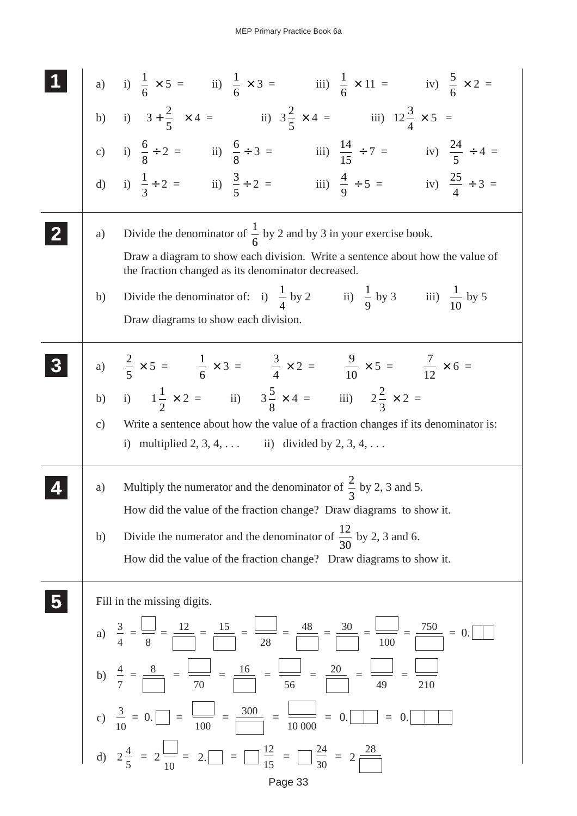| a) i) $\frac{1}{6} \times 5 =$ ii) $\frac{1}{6} \times 3 =$ iii) $\frac{1}{6} \times 11 =$ iv) $\frac{5}{6} \times 2 =$                                                                                                                                                                                                                                                                         |
|-------------------------------------------------------------------------------------------------------------------------------------------------------------------------------------------------------------------------------------------------------------------------------------------------------------------------------------------------------------------------------------------------|
| b) i) $\left(3 + \frac{2}{5}\right) \times 4 =$ ii) $3\frac{2}{5} \times 4 =$ iii) $12\frac{3}{4} \times 5 =$                                                                                                                                                                                                                                                                                   |
| c) i) $\frac{6}{8} \div 2 =$ ii) $\frac{6}{8} \div 3 =$ iii) $\frac{14}{15} \div 7 =$ iv) $\frac{24}{5} \div 4 =$                                                                                                                                                                                                                                                                               |
| d) i) $\frac{1}{3} \div 2 =$ ii) $\frac{3}{5} \div 2 =$ iii) $\frac{4}{9} \div 5 =$ iv) $\frac{25}{4} \div 3 =$                                                                                                                                                                                                                                                                                 |
| Divide the denominator of $\frac{1}{6}$ by 2 and by 3 in your exercise book.<br>a)                                                                                                                                                                                                                                                                                                              |
| Draw a diagram to show each division. Write a sentence about how the value of<br>the fraction changed as its denominator decreased.                                                                                                                                                                                                                                                             |
| Divide the denominator of: i) $\frac{1}{4}$ by 2 iii) $\frac{1}{9}$ by 3 iii) $\frac{1}{10}$ by 5<br>b)                                                                                                                                                                                                                                                                                         |
| Draw diagrams to show each division.                                                                                                                                                                                                                                                                                                                                                            |
| a) $\frac{2}{5} \times 5 = \frac{1}{6} \times 3 = \frac{3}{4} \times 2 = \frac{9}{10} \times 5 = \frac{7}{12} \times 6 =$                                                                                                                                                                                                                                                                       |
| i) $1\frac{1}{2} \times 2 =$ ii) $3\frac{5}{8} \times 4 =$ iii) $2\frac{2}{3} \times 2 =$<br>b)                                                                                                                                                                                                                                                                                                 |
| Write a sentence about how the value of a fraction changes if its denominator is:<br>$\mathbf{c})$<br>i) multiplied $2, 3, 4, \ldots$ ii) divided by $2, 3, 4, \ldots$                                                                                                                                                                                                                          |
| Multiply the numerator and the denominator of $\frac{2}{3}$ by 2, 3 and 5.<br>a)                                                                                                                                                                                                                                                                                                                |
| How did the value of the fraction change? Draw diagrams to show it.                                                                                                                                                                                                                                                                                                                             |
| Divide the numerator and the denominator of $\frac{12}{30}$ by 2, 3 and 6.<br>b)                                                                                                                                                                                                                                                                                                                |
| How did the value of the fraction change? Draw diagrams to show it.                                                                                                                                                                                                                                                                                                                             |
| Fill in the missing digits.                                                                                                                                                                                                                                                                                                                                                                     |
| a) $\frac{3}{4} = \frac{ }{8} = \frac{12}{\sqrt{13}} = \frac{15}{\sqrt{13}} = \frac{ }{28} = \frac{48}{\sqrt{13}} = \frac{30}{\sqrt{13}} = \frac{5}{100} = \frac{750}{\sqrt{13}} = 0.$                                                                                                                                                                                                          |
| b) $\frac{4}{7} = \frac{8}{70} = \frac{16}{70} = \frac{16}{56} = \frac{20}{56} = \frac{20}{49} = \frac{1}{210}$                                                                                                                                                                                                                                                                                 |
| c) $\frac{3}{10} = 0.$ $\boxed{\phantom{0}} = \frac{300}{100} = \frac{300}{10000} = 0.$ $\boxed{\phantom{0}} = 0.$ $\boxed{\phantom{0}} = 0.$ $\boxed{\phantom{0}} = 0.$ $\boxed{\phantom{0}} = 0.$ $\boxed{\phantom{0}} = 0.$ $\boxed{\phantom{0}} = 0.$ $\boxed{\phantom{0}} = 0.$ $\boxed{\phantom{0}} = 0.$ $\boxed{\phantom{0}} = 0.$ $\boxed{\phantom{0}} = 0.$ $\boxed{\phantom{0}} = 0$ |
|                                                                                                                                                                                                                                                                                                                                                                                                 |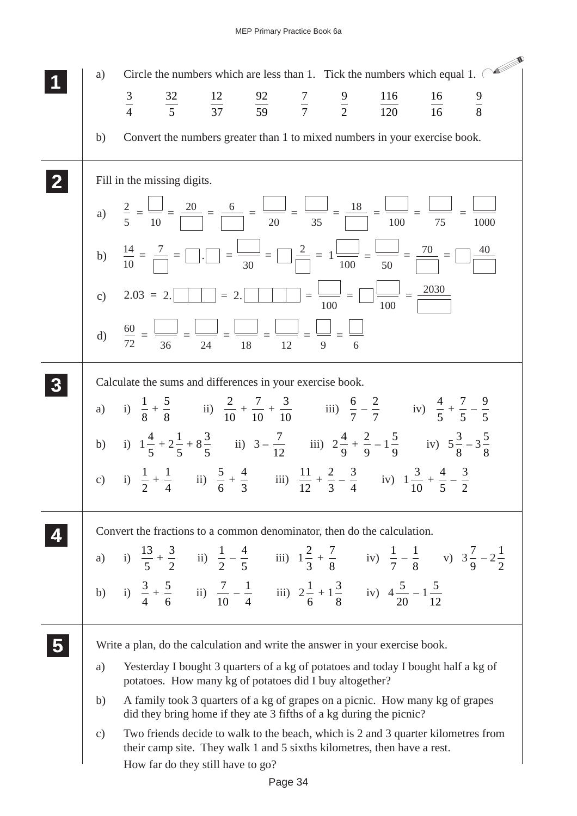|   | a)              | Circle the numbers which are less than 1. Tick the numbers which equal 1. $\sim$                                                                                                                  |
|---|-----------------|---------------------------------------------------------------------------------------------------------------------------------------------------------------------------------------------------|
|   |                 |                                                                                                                                                                                                   |
|   |                 | $\frac{3}{4}$ $\frac{32}{5}$ $\frac{12}{37}$ $\frac{92}{59}$ $\frac{7}{7}$ $\frac{9}{2}$ $\frac{116}{120}$<br>$\frac{16}{16}$ $\frac{9}{8}$                                                       |
|   | b)              | Convert the numbers greater than 1 to mixed numbers in your exercise book.                                                                                                                        |
| 2 |                 | Fill in the missing digits.                                                                                                                                                                       |
|   |                 | a) $\frac{2}{5} = \frac{ }{10} = \frac{20}{ } = \frac{6}{ } = \frac{ }{20} = \frac{ }{20} = \frac{ }{35} = \frac{18}{ } = \frac{ }{100} = \frac{ }{75} = \frac{ }{1000}$                          |
|   |                 | b) $\frac{14}{10} = \frac{7}{\Box} = \Box \cdot \Box = \frac{\Box}{30} = \Box \frac{2}{\Box} = 1 \frac{\Box}{100} = \frac{\Box}{50} = \frac{70}{\Box} = \Box \frac{40}{\Box}$                     |
|   |                 |                                                                                                                                                                                                   |
|   |                 | d) $\frac{60}{72} = \frac{\boxed{}}{36} = \frac{\boxed{}}{24} = \frac{\boxed{}}{18} = \frac{\boxed{}}{12} = \frac{\boxed{}}{9} = \frac{\boxed{}}{6}$                                              |
|   |                 | Calculate the sums and differences in your exercise book.                                                                                                                                         |
|   |                 | a) i) $\frac{1}{8} + \frac{5}{8}$ ii) $\frac{2}{10} + \frac{7}{10} + \frac{3}{10}$ iii) $\frac{6}{7} - \frac{2}{7}$ iv) $\frac{4}{5} + \frac{7}{5} - \frac{9}{5}$                                 |
|   |                 | b) i) $1\frac{4}{5} + 2\frac{1}{5} + 8\frac{3}{5}$ ii) $3 - \frac{7}{12}$ iii) $2\frac{4}{9} + \frac{2}{9} - 1\frac{5}{9}$ iv) $5\frac{3}{8} - 3\frac{5}{8}$                                      |
|   | c)              | i) $\frac{1}{2} + \frac{1}{4}$ ii) $\frac{5}{6} + \frac{4}{3}$ iii) $\frac{11}{12} + \frac{2}{3} - \frac{3}{4}$ iv) $1\frac{3}{10} + \frac{4}{5} - \frac{3}{2}$                                   |
|   |                 | Convert the fractions to a common denominator, then do the calculation.                                                                                                                           |
|   |                 | a) i) $\frac{13}{5} + \frac{3}{2}$ ii) $\frac{1}{2} - \frac{4}{5}$ iii) $1\frac{2}{3} + \frac{7}{8}$ iv) $\frac{1}{7} - \frac{1}{8}$ v) $3\frac{7}{9} - 2\frac{1}{2}$                             |
|   |                 | b) i) $\frac{3}{4} + \frac{5}{6}$ ii) $\frac{7}{10} - \frac{1}{4}$ iii) $2\frac{1}{6} + 1\frac{3}{8}$ iv) $4\frac{5}{20} - 1\frac{5}{12}$                                                         |
|   |                 | Write a plan, do the calculation and write the answer in your exercise book.                                                                                                                      |
|   | a)              | Yesterday I bought 3 quarters of a kg of potatoes and today I bought half a kg of<br>potatoes. How many kg of potatoes did I buy altogether?                                                      |
|   | b)              | A family took 3 quarters of a kg of grapes on a picnic. How many kg of grapes<br>did they bring home if they ate 3 fifths of a kg during the picnic?                                              |
|   | $\mathcal{C}$ ) | Two friends decide to walk to the beach, which is 2 and 3 quarter kilometres from<br>their camp site. They walk 1 and 5 sixths kilometres, then have a rest.<br>How far do they still have to go? |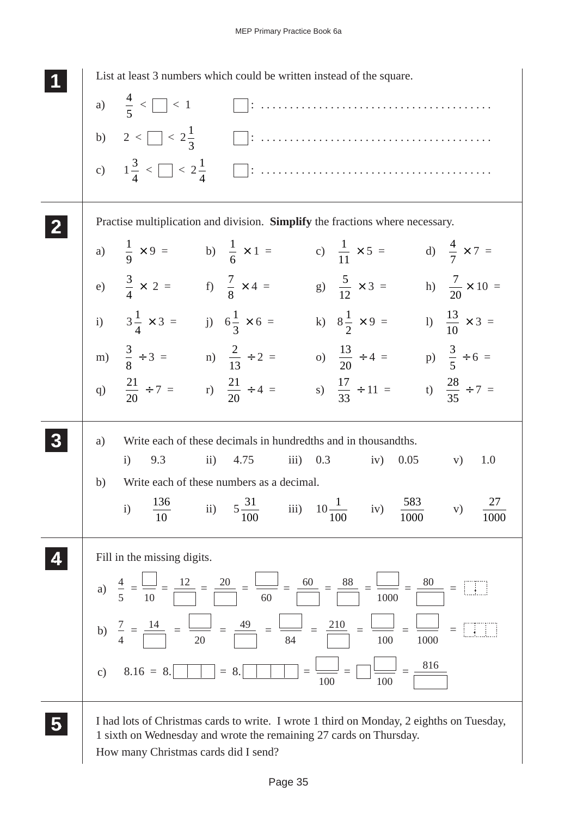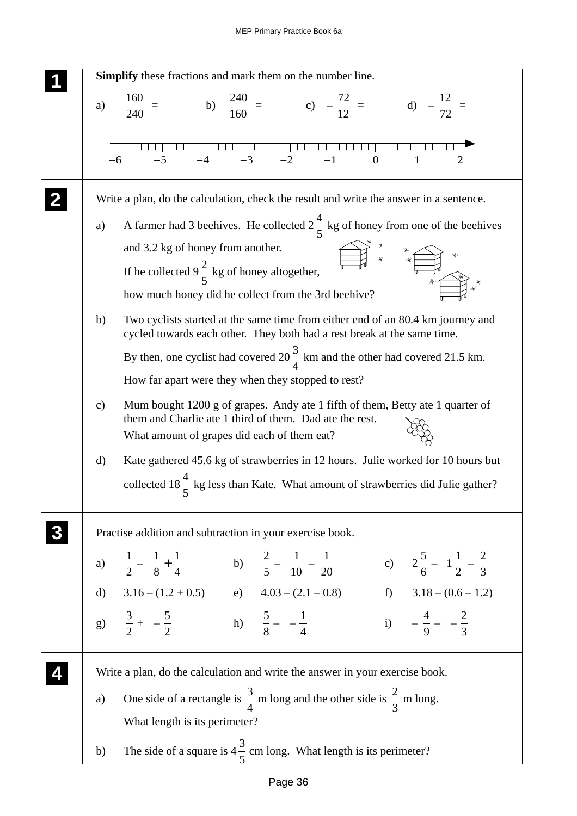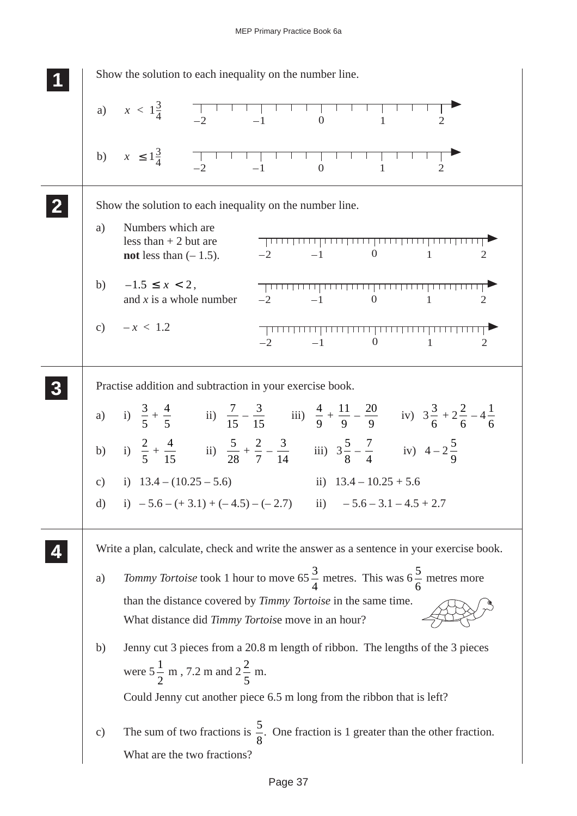| Show the solution to each inequality on the number line. |                                                                                                                                                                          |  |
|----------------------------------------------------------|--------------------------------------------------------------------------------------------------------------------------------------------------------------------------|--|
|                                                          | a) $x < 1\frac{3}{4}$<br>$\overline{0}$<br>1<br>2                                                                                                                        |  |
|                                                          | b) $x \le 1\frac{3}{4}$<br>$\theta$<br>2<br>1                                                                                                                            |  |
|                                                          | Show the solution to each inequality on the number line.                                                                                                                 |  |
| a)                                                       | Numbers which are<br>less than $+2$ but are<br><u>- Leecherd eelen de cherdered een be</u><br>$-1$<br>$\overline{0}$<br><b>not</b> less than $(-1.5)$ .                  |  |
| b)                                                       | $-1.5 \leq x < 2$ ,<br>- <del>Tunning Lands and Lands and Lands and</del><br>and $x$ is a whole number<br>$-2$<br>$\overline{0}$<br>$-1$                                 |  |
|                                                          | c) $-x < 1.2$<br>$\overline{0}$<br>$-1$<br>$-2$                                                                                                                          |  |
|                                                          | Practise addition and subtraction in your exercise book.                                                                                                                 |  |
|                                                          | a) i) $\frac{3}{5} + \frac{4}{5}$ ii) $\frac{7}{15} - \frac{3}{15}$ iii) $\frac{4}{9} + \frac{11}{9} - \frac{20}{9}$ iv) $3\frac{3}{6} + 2\frac{2}{6} - 4\frac{1}{6}$    |  |
|                                                          | b) i) $\frac{2}{5} + \frac{4}{15}$ ii) $\frac{5}{28} + \frac{2}{7} - \frac{3}{14}$ iii) $3\frac{5}{8} - \frac{7}{4}$ iv) $4 - 2\frac{5}{9}$                              |  |
|                                                          | c) i) $13.4 - (10.25 - 5.6)$<br>ii) $13.4 - 10.25 + 5.6$                                                                                                                 |  |
| $\rm d)$                                                 | ii) $-5.6 - 3.1 - 4.5 + 2.7$<br>i) $-5.6 - (+3.1) + (-4.5) - (-2.7)$                                                                                                     |  |
|                                                          | Write a plan, calculate, check and write the answer as a sentence in your exercise book.                                                                                 |  |
| a)                                                       | <i>Tommy Tortoise</i> took 1 hour to move 65 $\frac{3}{4}$ metres. This was 6 $\frac{5}{6}$ metres more<br>than the distance covered by Timmy Tortoise in the same time. |  |
|                                                          | What distance did Timmy Tortoise move in an hour?                                                                                                                        |  |
| b)                                                       | Jenny cut 3 pieces from a 20.8 m length of ribbon. The lengths of the 3 pieces<br>were $5\frac{1}{2}$ m, 7.2 m and $2\frac{2}{5}$ m.                                     |  |
|                                                          | Could Jenny cut another piece 6.5 m long from the ribbon that is left?                                                                                                   |  |
| $\mathbf{c})$                                            | The sum of two fractions is $\frac{5}{8}$ . One fraction is 1 greater than the other fraction.<br>What are the two fractions?                                            |  |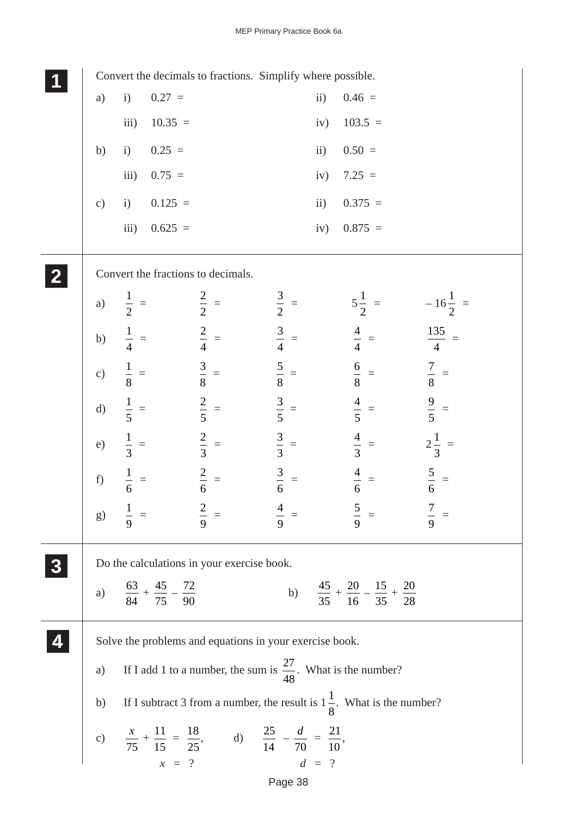|                  | Convert the decimals to fractions. Simplify where possible. |                 |                                                    |                                            |                                                                                                         |               |                                                                                    |                    |
|------------------|-------------------------------------------------------------|-----------------|----------------------------------------------------|--------------------------------------------|---------------------------------------------------------------------------------------------------------|---------------|------------------------------------------------------------------------------------|--------------------|
|                  | a)                                                          | i)              | $0.27 =$                                           |                                            |                                                                                                         | $\ddot{i}$    | $0.46 =$                                                                           |                    |
|                  |                                                             | iii)            | $10.35 =$                                          |                                            |                                                                                                         | iv)           | $103.5 =$                                                                          |                    |
|                  | b)                                                          | i)              | $0.25 =$                                           |                                            |                                                                                                         | ii)           | $0.50 =$                                                                           |                    |
|                  |                                                             | iii)            | $0.75 =$                                           |                                            |                                                                                                         | iv)           | $7.25 =$                                                                           |                    |
|                  | $\mathbf{c})$                                               | i)              | $0.125 =$                                          |                                            |                                                                                                         | $\mathbf{ii}$ | $0.375 =$                                                                          |                    |
|                  |                                                             | iii)            | $0.625 =$                                          |                                            |                                                                                                         | iv)           | $0.875 =$                                                                          |                    |
|                  |                                                             |                 |                                                    | Convert the fractions to decimals.         |                                                                                                         |               |                                                                                    |                    |
|                  | a)                                                          | $\frac{1}{2}$ = |                                                    | $\frac{2}{2}$ =                            | $\frac{3}{2}$ =                                                                                         |               | $5\frac{1}{2}$ =                                                                   | $-16\frac{1}{2}$ = |
|                  | b)                                                          | $\frac{1}{4}$   |                                                    | $rac{2}{4}$ =                              | $\frac{3}{4}$                                                                                           |               | $\frac{4}{4}$                                                                      | $\frac{135}{4}$ =  |
|                  | c)                                                          | $\frac{1}{8}$ = | $\frac{3}{8}$                                      |                                            | $\frac{5}{8}$ =                                                                                         |               | $\frac{6}{8}$ =                                                                    | $\frac{7}{8}$ =    |
|                  | $\mathbf{d}$                                                | $\frac{1}{5}$ = | $\frac{2}{5}$                                      |                                            | $\frac{3}{5}$                                                                                           |               | $\frac{4}{5}$ =                                                                    | $\frac{9}{5}$ =    |
|                  | e)                                                          | $\frac{1}{3}$   | $\frac{2}{3}$ =                                    |                                            | $\frac{3}{3}$ =                                                                                         |               | $\frac{4}{3}$ =                                                                    | $2\frac{1}{3}$ =   |
|                  | f)                                                          | $\frac{1}{6}$   | $rac{2}{6}$ =                                      |                                            | $\frac{3}{6}$                                                                                           |               | $\frac{4}{6}$                                                                      | $\frac{5}{6}$      |
|                  |                                                             |                 |                                                    |                                            |                                                                                                         |               | g) $\frac{1}{9}$ = $\frac{2}{9}$ = $\frac{4}{9}$ = $\frac{5}{9}$ = $\frac{7}{9}$ = |                    |
| $\boldsymbol{3}$ |                                                             |                 |                                                    | Do the calculations in your exercise book. |                                                                                                         |               |                                                                                    |                    |
|                  |                                                             |                 | a) $\frac{63}{84} + \frac{45}{75} - \frac{72}{90}$ |                                            |                                                                                                         |               | b) $\frac{45}{35} + \frac{20}{16} - \frac{15}{35} + \frac{20}{28}$                 |                    |
|                  |                                                             |                 |                                                    |                                            | Solve the problems and equations in your exercise book.                                                 |               |                                                                                    |                    |
|                  | a)                                                          |                 |                                                    |                                            |                                                                                                         |               | If I add 1 to a number, the sum is $\frac{27}{48}$ . What is the number?           |                    |
|                  | b)                                                          |                 |                                                    |                                            |                                                                                                         |               | If I subtract 3 from a number, the result is $1\frac{1}{8}$ . What is the number?  |                    |
|                  |                                                             |                 |                                                    |                                            | c) $\frac{x}{75} + \frac{11}{15} = \frac{18}{25}$ , d) $\frac{25}{14} - \frac{d}{70} = \frac{21}{10}$ , |               |                                                                                    |                    |
|                  |                                                             |                 |                                                    |                                            | $x = ?$ $d = ?$                                                                                         |               |                                                                                    |                    |

Page 38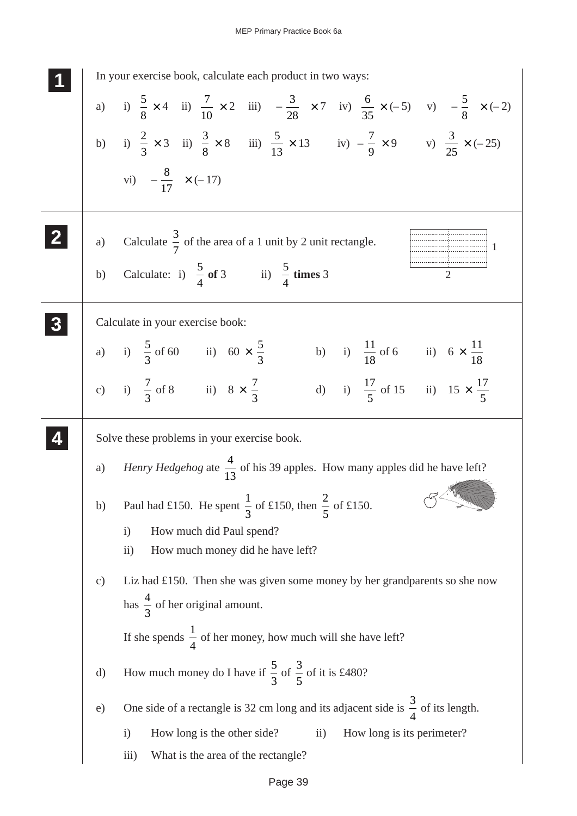| In your exercise book, calculate each product in two ways: |                                                                                                                                                                               |  |
|------------------------------------------------------------|-------------------------------------------------------------------------------------------------------------------------------------------------------------------------------|--|
|                                                            | a) i) $\frac{5}{8} \times 4$ ii) $\frac{7}{10} \times 2$ iii) $\left(-\frac{3}{28}\right) \times 7$ iv) $\frac{6}{35} \times (-5)$ v) $\left(-\frac{5}{8}\right) \times (-2)$ |  |
|                                                            | b) i) $\frac{2}{3} \times 3$ ii) $\frac{3}{8} \times 8$ iii) $\frac{5}{13} \times 13$ iv) $-\frac{7}{9} \times 9$ v) $\frac{3}{25} \times (-25)$                              |  |
|                                                            | vi) $\left(-\frac{8}{17}\right) \times (-17)$                                                                                                                                 |  |
| a)                                                         | Calculate $\frac{3}{7}$ of the area of a 1 unit by 2 unit rectangle.                                                                                                          |  |
| b)                                                         | Calculate: i) $\frac{5}{4}$ of 3 ii) $\frac{5}{4}$ times 3                                                                                                                    |  |
|                                                            | Calculate in your exercise book:                                                                                                                                              |  |
|                                                            | a) i) $\frac{5}{3}$ of 60 ii) $60 \times \frac{5}{3}$<br>b) i) $\frac{11}{18}$ of 6 ii) $6 \times \frac{11}{18}$                                                              |  |
|                                                            | c) i) $\frac{7}{3}$ of 8 ii) $8 \times \frac{7}{3}$<br>d) i) $\frac{17}{5}$ of 15 ii) $15 \times \frac{17}{5}$                                                                |  |
|                                                            | Solve these problems in your exercise book.                                                                                                                                   |  |
|                                                            | a) Henry Hedgehog ate $\frac{4}{13}$ of his 39 apples. How many apples did he have left?                                                                                      |  |
| b)                                                         | <b>REMARK</b><br>Paul had £150. He spent $\frac{1}{3}$ of £150, then $\frac{2}{5}$ of £150.                                                                                   |  |
|                                                            | How much did Paul spend?<br>$\mathbf{i}$<br>$\rm ii)$<br>How much money did he have left?                                                                                     |  |
| $\mathbf{c})$                                              | Liz had £150. Then she was given some money by her grandparents so she now<br>has $\frac{4}{3}$ of her original amount.                                                       |  |
|                                                            | If she spends $\frac{1}{4}$ of her money, how much will she have left?                                                                                                        |  |
| d)                                                         | How much money do I have if $\frac{5}{3}$ of $\frac{3}{5}$ of it is £480?                                                                                                     |  |
| e)                                                         | One side of a rectangle is 32 cm long and its adjacent side is $\frac{3}{4}$ of its length.                                                                                   |  |
|                                                            | How long is the other side?<br>$\rm ii)$<br>How long is its perimeter?<br>$\mathbf{i}$                                                                                        |  |
|                                                            | iii)<br>What is the area of the rectangle?                                                                                                                                    |  |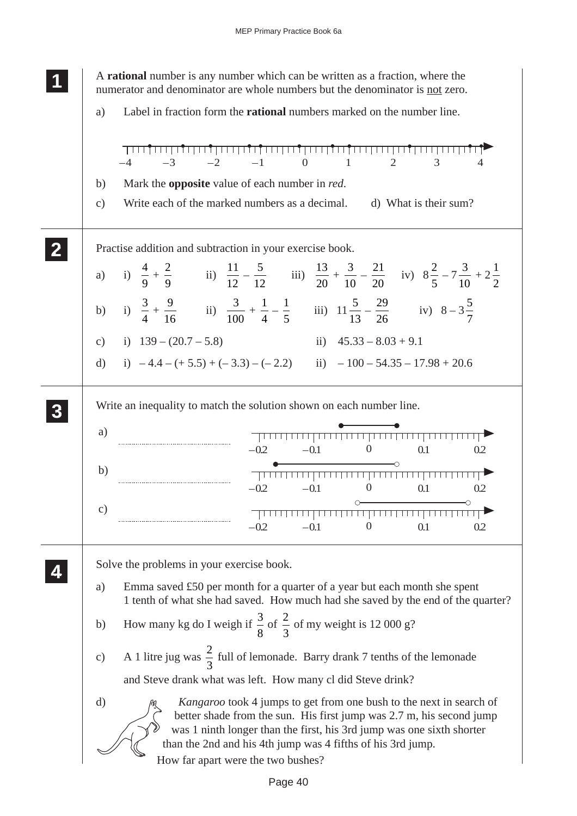**1 11 <sup>11</sup>** <sup>A</sup>**rational** number is any number which can be written as a fraction, where the numerator and denominator are whole numbers but the denominator is not zero. a) Label in fraction form the **rational** numbers marked on the number line.  $-4$   $-3$   $-2$   $-1$  0 1 2 3 4 b) Mark the **opposite** value of each number in *red*. c) Write each of the marked numbers as a decimal. d) What is their sum? **2 22** Practise addition and subtraction in your exercise book. **22**  $+\frac{2}{9}$  ii)  $\frac{11}{12} - \frac{5}{12}$  iii)  $\frac{13}{20}$ a) i)  $\frac{4}{9}$  $+\frac{3}{10} - \frac{21}{20}$  iv)  $8\frac{2}{5}$  $-7\frac{3}{16}$  $+2\frac{1}{2}$ 9 10 2 b) i)  $\frac{3}{4}$ +  $\frac{9}{16}$  ii)  $\frac{3}{100}$  $+\frac{1}{4}$  $-\frac{1}{7}$ iii)  $11\frac{5}{13} - \frac{29}{26}$  iv)  $8 - 3\frac{5}{7}$ 4 4 5 c) i)  $139 - (20.7 - 5.8)$  ii)  $45.33 - 8.03 + 9.1$ d) i)  $-4.4 - (+5.5) + (-3.3) - (-2.2)$  ii)  $-100 - 54.35 - 17.98 + 20.6$ **3 33** Write an inequality to match the solution shown on each number line. **33 33** a)  $-0.2$   $-0.1$  0.1 0.2 b)  $-0.2$   $-0.1$  0.1 0.2 c)  $-0.2$   $-0.1$  0.1 0.2 **4 44** Solve the problems in your exercise book. **44** a) Emma saved £50 per month for a quarter of a year but each month she spent 1 tenth of what she had saved. How much had she saved by the end of the quarter? b) How many kg do I weigh if  $\frac{3}{8}$ of  $\frac{2}{2}$  of my weight is 12 000 g? 8 3 c) A 1 litre jug was  $\frac{2}{3}$  full of lemonade. Barry drank 7 tenths of the lemonade 3 and Steve drank what was left. How many cl did Steve drink? d) *Kangaroo* took 4 jumps to get from one bush to the next in search of better shade from the sun. His first jump was 2.7 m, his second jump was 1 ninth longer than the first, his 3rd jump was one sixth shorter than the 2nd and his 4th jump was 4 fifths of his 3rd jump. How far apart were the two bushes?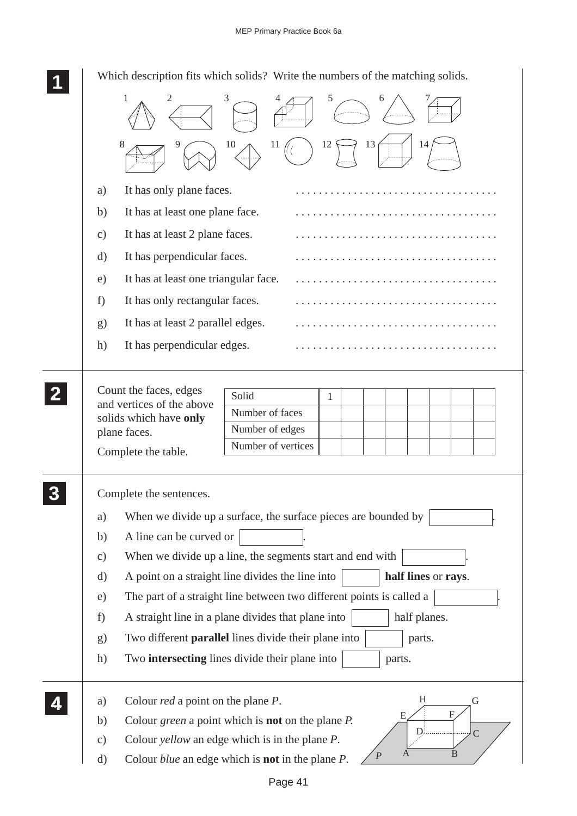| Which description fits which solids? Write the numbers of the matching solids.          |
|-----------------------------------------------------------------------------------------|
| 2<br>3<br>1<br>5<br>6                                                                   |
| 13<br>8<br>12<br>14<br>10<br>11                                                         |
| It has only plane faces.<br>a)                                                          |
| It has at least one plane face.<br>b)                                                   |
| It has at least 2 plane faces.<br>$\mathbf{c})$                                         |
| It has perpendicular faces.<br>$\mathbf{d}$                                             |
| It has at least one triangular face.<br>e)                                              |
| It has only rectangular faces.<br>f)                                                    |
| It has at least 2 parallel edges.<br>g)                                                 |
| It has perpendicular edges.<br>h)                                                       |
|                                                                                         |
| Count the faces, edges<br>Solid<br>$\mathbf{1}$<br>and vertices of the above            |
| Number of faces<br>solids which have only                                               |
| Number of edges<br>plane faces.                                                         |
| Number of vertices<br>Complete the table.                                               |
| Complete the sentences.                                                                 |
| When we divide up a surface, the surface pieces are bounded by<br>a)                    |
| A line can be curved or<br>b)                                                           |
| When we divide up a line, the segments start and end with<br>$\mathbf{c})$              |
| A point on a straight line divides the line into<br>half lines or rays.<br>d)           |
| The part of a straight line between two different points is called a<br>e)              |
| A straight line in a plane divides that plane into<br>half planes.<br>f)                |
| Two different <b>parallel</b> lines divide their plane into<br>parts.<br>g)             |
| Two <b>intersecting</b> lines divide their plane into<br>h)<br>parts.                   |
| H<br>Colour $red$ a point on the plane $P$ .<br>a)<br>G                                 |
| F<br>E<br>Colour <i>green</i> a point which is <b>not</b> on the plane <i>P</i> .<br>b) |
| D<br>Colour <i>yellow</i> an edge which is in the plane <i>P</i> .<br>$\mathbf{c})$     |
| Colour <i>blue</i> an edge which is <b>not</b> in the plane <i>P</i> .<br>d)            |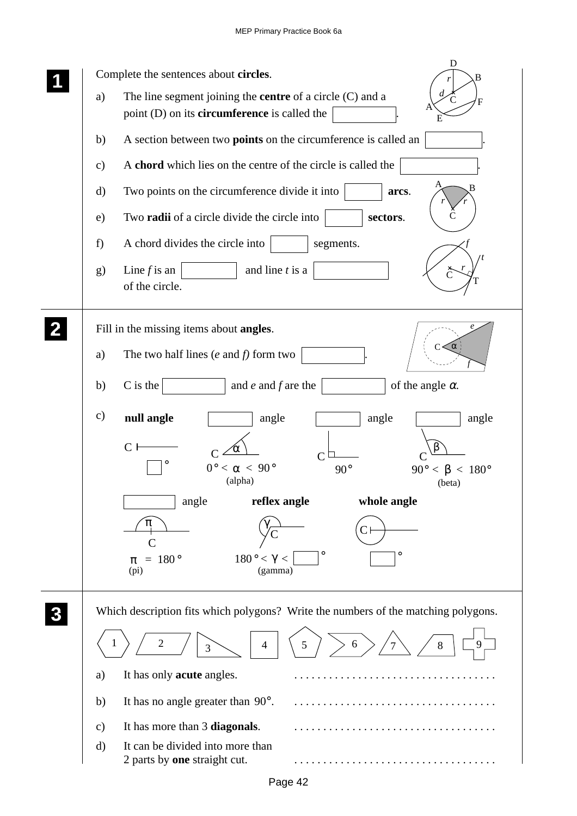| D<br>Complete the sentences about circles.<br>B                                                                                                                                                    |
|----------------------------------------------------------------------------------------------------------------------------------------------------------------------------------------------------|
| The line segment joining the <b>centre</b> of a circle $(C)$ and a<br>a)<br>point (D) on its <b>circumference</b> is called the                                                                    |
| A section between two points on the circumference is called an<br>b)                                                                                                                               |
| A chord which lies on the centre of the circle is called the<br>$\mathbf{c})$                                                                                                                      |
| Two points on the circumference divide it into<br>d)<br>arcs.                                                                                                                                      |
| Two radii of a circle divide the circle into<br>sectors.<br>e)                                                                                                                                     |
| A chord divides the circle into<br>f)<br>segments.                                                                                                                                                 |
| Line $f$ is an<br>and line $t$ is a<br>g)<br>of the circle.                                                                                                                                        |
| Fill in the missing items about angles.<br>$C \leq \alpha$<br>The two half lines $(e \text{ and } f)$ form two<br>a)                                                                               |
|                                                                                                                                                                                                    |
| C is the<br>and $e$ and $f$ are the<br>of the angle $\alpha$ .<br>b)                                                                                                                               |
| $\mathbf{c})$<br>null angle<br>angle<br>angle<br>angle<br>C <sup>1</sup><br>C<br>$0^{\circ} < \alpha < 90^{\circ}$<br>$90^{\circ}$<br>$90^{\circ}$<br>$< \beta < 180^{\circ}$<br>(alpha)<br>(beta) |
| reflex angle<br>angle<br>whole angle                                                                                                                                                               |
|                                                                                                                                                                                                    |
| O<br>O<br>$180^{\circ} < \gamma <$<br>$= 180$ °<br>π<br>(gamma)<br>(p <sub>i</sub> )                                                                                                               |
| Which description fits which polygons? Write the numbers of the matching polygons.                                                                                                                 |
| 2<br>5<br>9<br>6<br>$\overline{4}$<br>8<br>3                                                                                                                                                       |
| It has only <b>acute</b> angles.<br>a)                                                                                                                                                             |
| It has no angle greater than $90^\circ$ .<br>b)                                                                                                                                                    |
| It has more than 3 diagonals.<br>$\mathbf{c})$                                                                                                                                                     |
| It can be divided into more than<br>$\mathbf{d}$<br>2 parts by one straight cut.                                                                                                                   |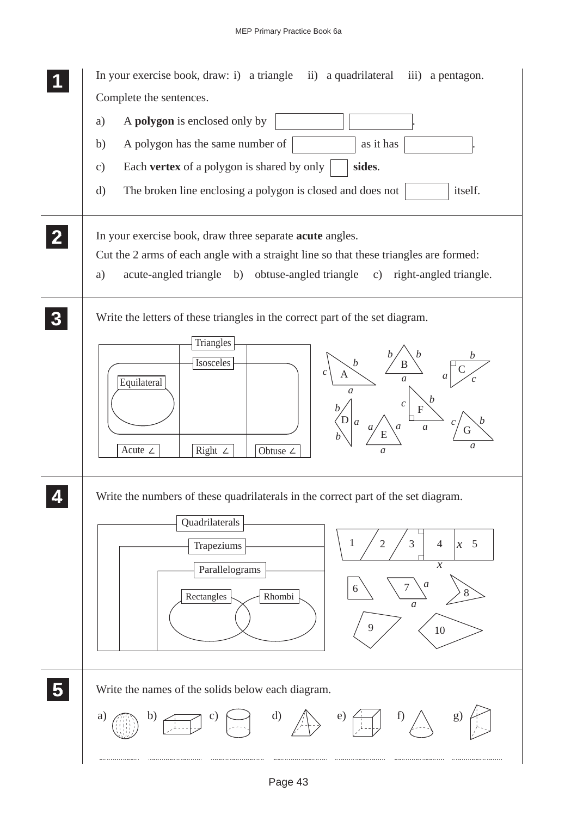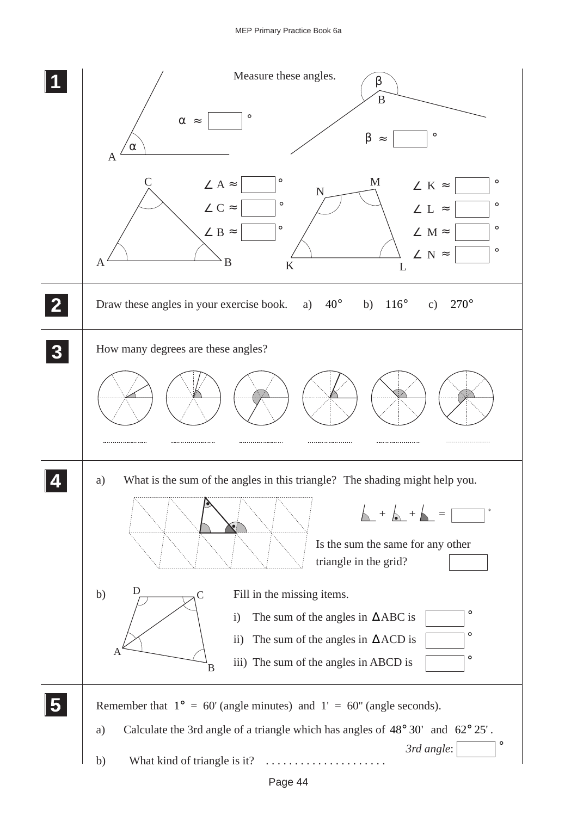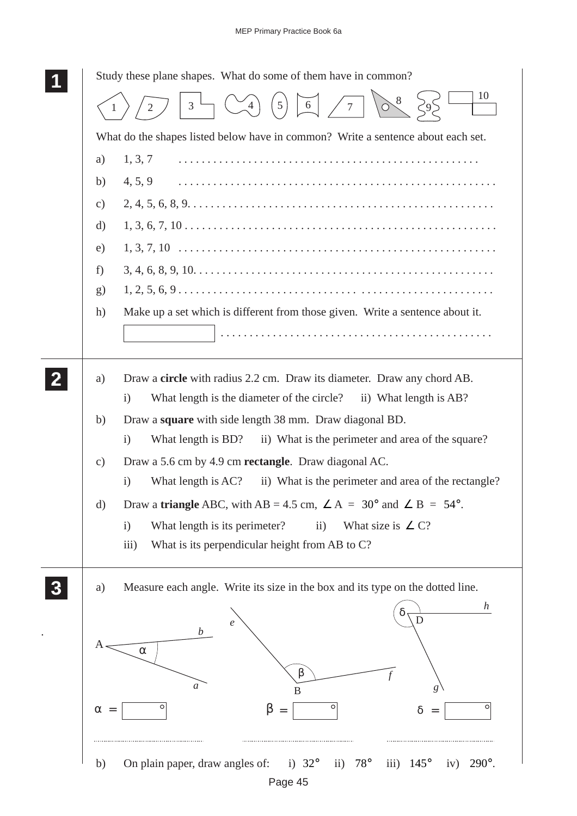|                 | Study these plane shapes. What do some of them have in common?                                                                                               |
|-----------------|--------------------------------------------------------------------------------------------------------------------------------------------------------------|
|                 | 10<br>8 <sub>2</sub><br>$\left(5\right)$<br>$\begin{array}{ c c c }\hline 6 & \nearrow \end{array}$<br>$\overline{4}$<br>$'$ 7<br>3                          |
|                 | What do the shapes listed below have in common? Write a sentence about each set.                                                                             |
| a)              | 1, 3, 7                                                                                                                                                      |
| b)              | 4, 5, 9                                                                                                                                                      |
| $\mathbf{c})$   |                                                                                                                                                              |
| d)              |                                                                                                                                                              |
| e)              |                                                                                                                                                              |
| f)              |                                                                                                                                                              |
| g)              |                                                                                                                                                              |
| h)              | Make up a set which is different from those given. Write a sentence about it.                                                                                |
|                 |                                                                                                                                                              |
| a)              | Draw a circle with radius 2.2 cm. Draw its diameter. Draw any chord AB.<br>What length is the diameter of the circle? ii) What length is AB?<br>$\mathbf{i}$ |
| b)              | Draw a square with side length 38 mm. Draw diagonal BD.                                                                                                      |
|                 | $\mathbf{i}$<br>What length is BD?<br>ii) What is the perimeter and area of the square?                                                                      |
| $\mathcal{C}$ ) | Draw a 5.6 cm by 4.9 cm rectangle. Draw diagonal AC.                                                                                                         |
|                 | ii) What is the perimeter and area of the rectangle?<br>What length is AC?<br>$\mathbf{i}$                                                                   |
| $\rm d)$        | Draw a <b>triangle</b> ABC, with AB = 4.5 cm, $\angle$ A = 30° and $\angle$ B = 54°.                                                                         |
|                 | What length is its perimeter?<br>What size is $\angle$ C?<br>$\ddot{\mathbf{i}}$<br>$\mathbf{i}$                                                             |
|                 | What is its perpendicular height from AB to C?<br>iii)                                                                                                       |
| a)              | Measure each angle. Write its size in the box and its type on the dotted line.<br>h                                                                          |
|                 | D<br>$\epsilon$<br>$\boldsymbol{b}$<br>$\alpha$                                                                                                              |
|                 | $\beta$<br>a<br>B                                                                                                                                            |
| $\alpha =$      | $\circ$<br>O<br>$\beta$<br>O<br>$\delta$<br>$\equiv$<br>$=$                                                                                                  |
| b)              | On plain paper, draw angles of:<br>$78^{\circ}$<br>$145^\circ$<br>$290^\circ$ .<br>i) $32^\circ$<br>$\rm ii)$<br>$\overline{iii}$<br>iv)                     |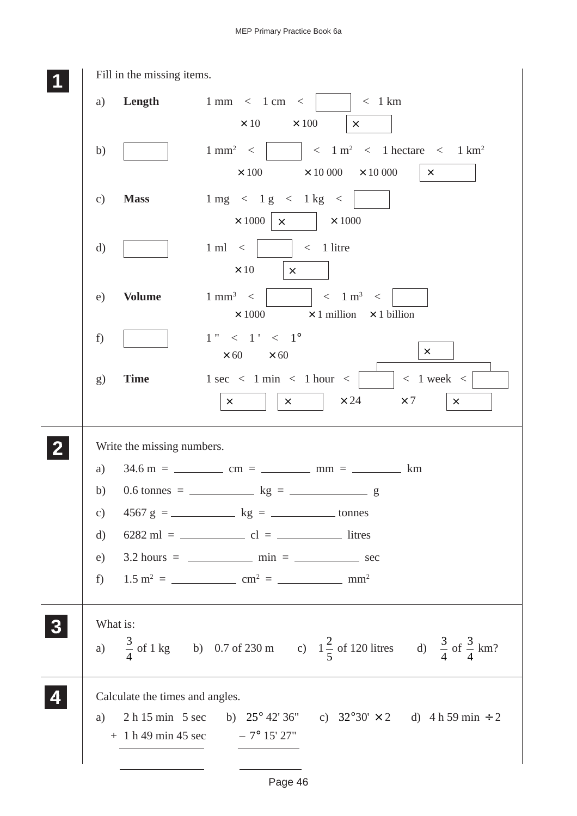|                 | Fill in the missing items.      |                                                                                                                                    |
|-----------------|---------------------------------|------------------------------------------------------------------------------------------------------------------------------------|
| a)              |                                 | $< 1$ km<br><b>Length</b> $1 \text{ mm} < 1 \text{ cm} <$                                                                          |
|                 |                                 | $\times$ 10<br>$\times$ 100<br>$\times$                                                                                            |
| b)              |                                 | $1 \text{ mm}^2 <$<br>$\vert$ $\vert$ < 1 m <sup>2</sup> < 1 hectare < 1 km <sup>2</sup>                                           |
|                 |                                 | $\times$ 100 $\times$ 10 000 $\times$ 10 000<br>$\times$                                                                           |
| $\mathcal{C}$ ) | <b>Mass</b>                     | $1 \text{ mg} < 1 \text{ g} < 1 \text{ kg} <$                                                                                      |
|                 |                                 | $\times$ 1000<br>$\times$ 1000<br>$\times$                                                                                         |
| d)              |                                 |                                                                                                                                    |
|                 |                                 | $\times$ 10<br>$\mathsf{X}$                                                                                                        |
| e)              | <b>Volume</b>                   | $1 \text{ mm}^3 \leq 1$<br>$< 1 \text{ m}^3 <$                                                                                     |
|                 |                                 | $\times$ 1 million $\times$ 1 billion<br>$\times$ 1000                                                                             |
| f)              |                                 | $1" < 1' < 1^{\circ}$<br>×<br>$\times 60$<br>$\times 60$                                                                           |
|                 |                                 |                                                                                                                                    |
| g)              | <b>Time</b>                     | $1 \sec \leq 1 \min \leq 1 \text{ hour} \leq 1$<br>$< 1$ week $<$<br>$\times$ 24<br>$\times$ 7<br>$\times$<br>$\times$<br>$\times$ |
|                 |                                 |                                                                                                                                    |
|                 | Write the missing numbers.      |                                                                                                                                    |
| a)              |                                 |                                                                                                                                    |
| b)              |                                 |                                                                                                                                    |
| $\mathbf{c})$   |                                 |                                                                                                                                    |
|                 |                                 |                                                                                                                                    |
|                 |                                 | e) $3.2 \text{ hours} =$ $\frac{1}{2} \text{ min} =$ $\frac{1}{2} \text{ sec}$                                                     |
|                 |                                 |                                                                                                                                    |
|                 |                                 |                                                                                                                                    |
| What is:        |                                 |                                                                                                                                    |
|                 |                                 | a) $\frac{3}{4}$ of 1 kg b) 0.7 of 230 m c) $1\frac{2}{5}$ of 120 litres d) $\frac{3}{4}$ of $\frac{3}{4}$ km?                     |
|                 | Calculate the times and angles. |                                                                                                                                    |
|                 |                                 | a) $2 h 15 min 5 sec$ b) $25^{\circ} 42' 36''$ c) $32^{\circ} 30' \times 2$ d) $4 h 59 min \div 2$                                 |
|                 |                                 | $+ 1 h 49$ min 45 sec $- 7^{\circ} 15' 27''$                                                                                       |
|                 |                                 |                                                                                                                                    |

Page 46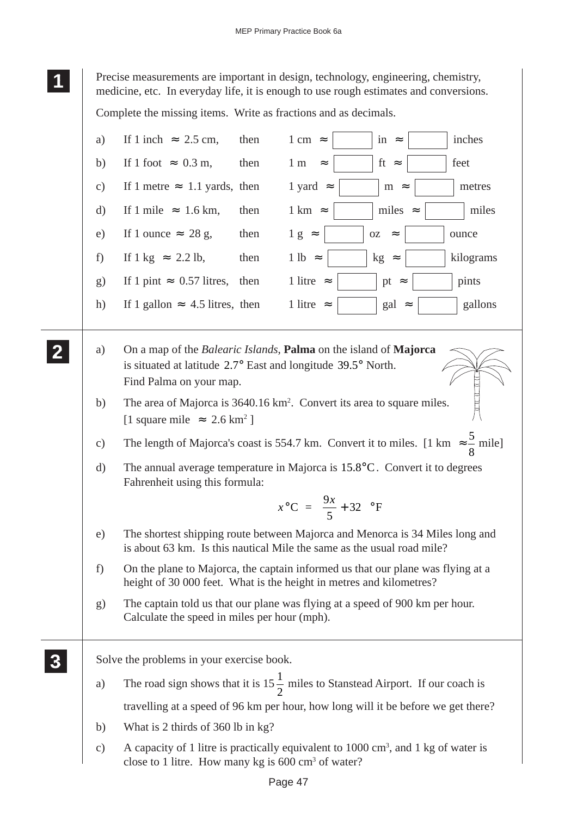Precise measurements are important in design, technology, engineering, chemistry, medicine, etc. In everyday life, it is enough to use rough estimates and conversions.

Complete the missing items. Write as fractions and as decimals.

**1 11 11**

| a)            | If 1 inch $\approx$ 2.5 cm,<br>in $\approx$<br>inches<br>then<br>$1 \text{ cm}$ $\approx$                                                                       |
|---------------|-----------------------------------------------------------------------------------------------------------------------------------------------------------------|
| b)            | If 1 foot $\approx 0.3$ m,<br>then<br>1 <sub>m</sub><br>ft $\approx$<br>feet<br>$\thickapprox$                                                                  |
| c)            | If 1 metre $\approx$ 1.1 yards, then<br>1 yard $\approx$<br>$m \approx$<br>metres                                                                               |
| d)            | If 1 mile $\approx 1.6$ km,<br>$1 \text{ km}$ $\approx$<br>miles $\approx$<br>then<br>miles                                                                     |
| e)            | If 1 ounce $\approx$ 28 g,<br>then<br>$1 g \approx$<br>$OZ \approx$<br>ounce                                                                                    |
| f)            | If $1 \text{ kg} \approx 2.2 \text{ lb}$ ,<br>then<br>$1 lb \approx$<br>kilograms<br>$kg \approx$                                                               |
| g)            | If 1 pint $\approx 0.57$ litres,<br>1 litre $\approx$<br>then<br>pints<br>pt $\approx$                                                                          |
| h)            | If 1 gallon $\approx$ 4.5 litres, then<br>1 litre $\approx$<br>gallons<br>$\text{gal}$ $\approx$                                                                |
| a)            | On a map of the Balearic Islands, Palma on the island of Majorca<br>is situated at latitude 2.7° East and longitude 39.5° North.<br>Find Palma on your map.     |
| b)            | The area of Majorca is 3640.16 km <sup>2</sup> . Convert its area to square miles.<br>[1 square mile $\approx 2.6 \text{ km}^2$ ]                               |
| c)            | The length of Majorca's coast is 554.7 km. Convert it to miles. [1 km $\approx \frac{5}{9}$ mile]                                                               |
| $\rm d)$      | The annual average temperature in Majorca is 15.8°C. Convert it to degrees<br>Fahrenheit using this formula:                                                    |
|               | $x^{\circ}C = \left(\frac{9x}{5} + 32\right)^{\circ}F$                                                                                                          |
| e)            | The shortest shipping route between Majorca and Menorca is 34 Miles long and<br>is about 63 km. Is this nautical Mile the same as the usual road mile?          |
| f)            | On the plane to Majorca, the captain informed us that our plane was flying at a<br>height of 30 000 feet. What is the height in metres and kilometres?          |
| g)            | The captain told us that our plane was flying at a speed of 900 km per hour.<br>Calculate the speed in miles per hour (mph).                                    |
|               | Solve the problems in your exercise book.                                                                                                                       |
| a)            | The road sign shows that it is $15\frac{1}{2}$ miles to Stanstead Airport. If our coach is                                                                      |
|               | travelling at a speed of 96 km per hour, how long will it be before we get there?                                                                               |
| b)            | What is 2 thirds of 360 lb in kg?                                                                                                                               |
| $\mathbf{c})$ | A capacity of 1 litre is practically equivalent to $1000 \text{ cm}^3$ , and 1 kg of water is<br>close to 1 litre. How many kg is 600 cm <sup>3</sup> of water? |
|               |                                                                                                                                                                 |

## Page 47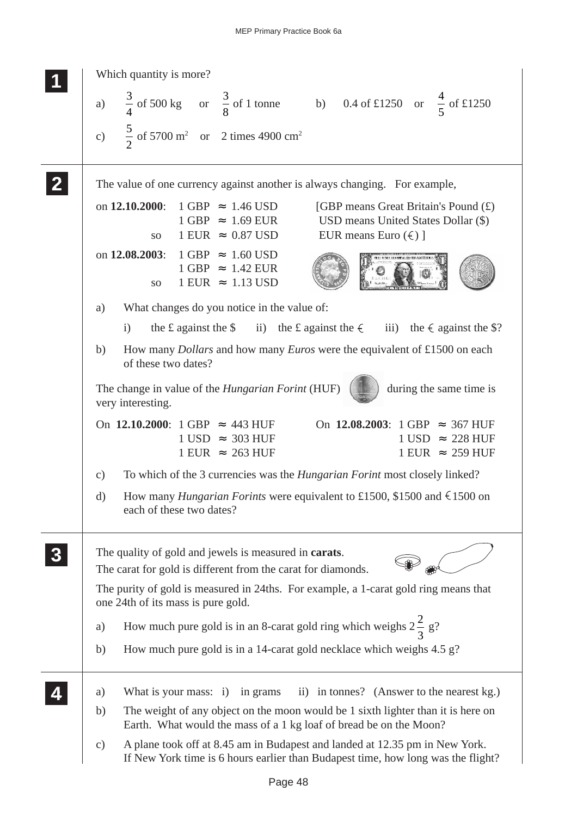| Which quantity is more?                                                                                                                                                                                                                                     |
|-------------------------------------------------------------------------------------------------------------------------------------------------------------------------------------------------------------------------------------------------------------|
| a) $\frac{3}{4}$ of 500 kg or $\frac{3}{8}$ of 1 tonne b) 0.4 of £1250 or $\frac{4}{5}$ of £1250                                                                                                                                                            |
| c) $\frac{5}{2}$ of 5700 m <sup>2</sup> or 2 times 4900 cm <sup>2</sup>                                                                                                                                                                                     |
| The value of one currency against another is always changing. For example,                                                                                                                                                                                  |
| on 12.10.2000: $1$ GBP $\approx 1.46$ USD<br>[GBP means Great Britain's Pound $(E)$<br>$1$ GBP $\approx 1.69$ EUR<br>USD means United States Dollar (\$)<br>$1$ EUR $\approx$ 0.87 USD<br>EUR means Euro $(\epsilon)$ ]<br>SO.                              |
| on 12.08.2003: $1$ GBP $\approx 1.60$ USD<br>$1$ GBP $\approx 1.42$ EUR<br>$1$ EUR $\approx$ 1.13 USD<br>SO.                                                                                                                                                |
| What changes do you notice in the value of:<br>a)                                                                                                                                                                                                           |
| ii) the £ against the $\epsilon$ iii) the $\epsilon$ against the \$?<br>the $\pounds$ against the $\pounds$<br>$\mathbf{i}$                                                                                                                                 |
| How many <i>Dollars</i> and how many <i>Euros</i> were the equivalent of £1500 on each<br>b)<br>of these two dates?                                                                                                                                         |
| The change in value of the Hungarian Forint (HUF)<br>during the same time is<br>very interesting.                                                                                                                                                           |
| On 12.10.2000: $1$ GBP $\approx$ 443 HUF<br>On 12.08.2003: $1$ GBP $\approx$ 367 HUF<br>$1$ USD $\approx$ 303 HUF<br>$1 \text{ USD} \approx 228 \text{ HUF}$<br>$1$ EUR $\approx 263$ HUF<br>$1$ EUR $\approx 259$ HUF                                      |
| To which of the 3 currencies was the <i>Hungarian Forint</i> most closely linked?<br>$\mathbf{c})$                                                                                                                                                          |
| How many <i>Hungarian Forints</i> were equivalent to £1500, \$1500 and $\leq$ 1500 on<br>d)<br>each of these two dates?                                                                                                                                     |
| The quality of gold and jewels is measured in <b>carats</b> .<br>The carat for gold is different from the carat for diamonds.<br>The purity of gold is measured in 24ths. For example, a 1-carat gold ring means that<br>one 24th of its mass is pure gold. |
| How much pure gold is in an 8-carat gold ring which weighs $2\frac{2}{3}$ g?<br>a)                                                                                                                                                                          |
| How much pure gold is in a 14-carat gold necklace which weighs 4.5 g?<br>b)                                                                                                                                                                                 |
| What is your mass: $i)$ in grams<br>ii) in tonnes? (Answer to the nearest kg.)<br>a)                                                                                                                                                                        |
| The weight of any object on the moon would be 1 sixth lighter than it is here on<br>b)<br>Earth. What would the mass of a 1 kg loaf of bread be on the Moon?                                                                                                |
| A plane took off at 8.45 am in Budapest and landed at 12.35 pm in New York.<br>$\mathbf{c})$<br>If New York time is 6 hours earlier than Budapest time, how long was the flight?                                                                            |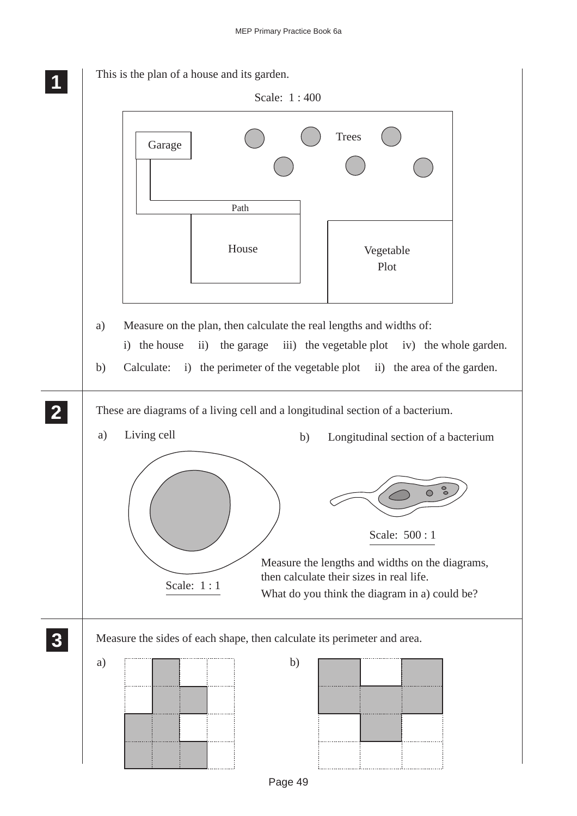